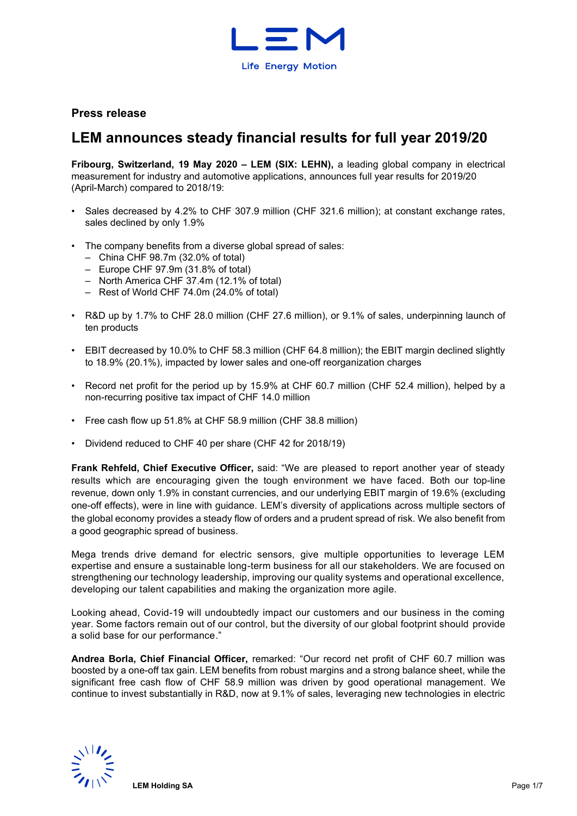

# **Press release**

# **LEM announces steady financial results for full year 2019/20**

**Fribourg, Switzerland, 19 May 2020 – LEM (SIX: LEHN),** a leading global company in electrical measurement for industry and automotive applications, announces full year results for 2019/20 (April-March) compared to 2018/19:

- Sales decreased by 4.2% to CHF 307.9 million (CHF 321.6 million); at constant exchange rates, sales declined by only 1.9%
- The company benefits from a diverse global spread of sales:
	- China CHF 98.7m (32.0% of total)
	- Europe CHF 97.9m (31.8% of total)
	- North America CHF 37.4m (12.1% of total)
	- Rest of World CHF 74.0m (24.0% of total)
- R&D up by 1.7% to CHF 28.0 million (CHF 27.6 million), or 9.1% of sales, underpinning launch of ten products
- EBIT decreased by 10.0% to CHF 58.3 million (CHF 64.8 million); the EBIT margin declined slightly to 18.9% (20.1%), impacted by lower sales and one-off reorganization charges
- Record net profit for the period up by 15.9% at CHF 60.7 million (CHF 52.4 million), helped by a non-recurring positive tax impact of CHF 14.0 million
- Free cash flow up 51.8% at CHF 58.9 million (CHF 38.8 million)
- Dividend reduced to CHF 40 per share (CHF 42 for 2018/19)

**Frank Rehfeld, Chief Executive Officer,** said: "We are pleased to report another year of steady results which are encouraging given the tough environment we have faced. Both our top-line revenue, down only 1.9% in constant currencies, and our underlying EBIT margin of 19.6% (excluding one-off effects), were in line with guidance. LEM's diversity of applications across multiple sectors of the global economy provides a steady flow of orders and a prudent spread of risk. We also benefit from a good geographic spread of business.

Mega trends drive demand for electric sensors, give multiple opportunities to leverage LEM expertise and ensure a sustainable long-term business for all our stakeholders. We are focused on strengthening our technology leadership, improving our quality systems and operational excellence, developing our talent capabilities and making the organization more agile.

Looking ahead, Covid-19 will undoubtedly impact our customers and our business in the coming year. Some factors remain out of our control, but the diversity of our global footprint should provide a solid base for our performance."

**Andrea Borla, Chief Financial Officer,** remarked: "Our record net profit of CHF 60.7 million was boosted by a one-off tax gain. LEM benefits from robust margins and a strong balance sheet, while the significant free cash flow of CHF 58.9 million was driven by good operational management. We continue to invest substantially in R&D, now at 9.1% of sales, leveraging new technologies in electric

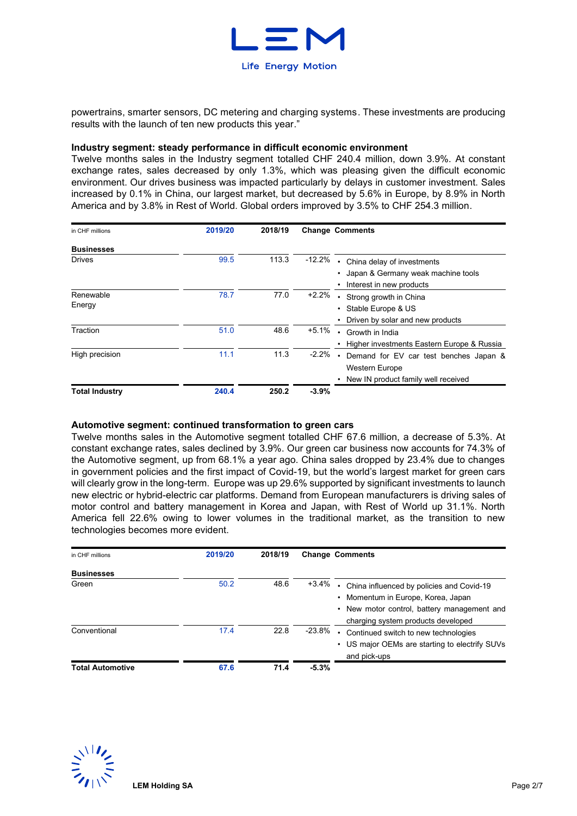

powertrains, smarter sensors, DC metering and charging systems. These investments are producing results with the launch of ten new products this year."

#### **Industry segment: steady performance in difficult economic environment**

Twelve months sales in the Industry segment totalled CHF 240.4 million, down 3.9%. At constant exchange rates, sales decreased by only 1.3%, which was pleasing given the difficult economic environment. Our drives business was impacted particularly by delays in customer investment. Sales increased by 0.1% in China, our largest market, but decreased by 5.6% in Europe, by 8.9% in North America and by 3.8% in Rest of World. Global orders improved by 3.5% to CHF 254.3 million.

| in CHF millions       | 2019/20 | 2018/19 |          | <b>Change Comments</b>                     |
|-----------------------|---------|---------|----------|--------------------------------------------|
| <b>Businesses</b>     |         |         |          |                                            |
| <b>Drives</b>         | 99.5    | 113.3   | $-12.2%$ | China delay of investments                 |
|                       |         |         |          | Japan & Germany weak machine tools         |
|                       |         |         |          | Interest in new products                   |
| Renewable             | 78.7    | 77.0    | $+2.2%$  | Strong growth in China                     |
| Energy                |         |         |          | Stable Europe & US                         |
|                       |         |         |          | Driven by solar and new products           |
| Traction              | 51.0    | 48.6    | $+5.1%$  | Growth in India                            |
|                       |         |         |          | Higher investments Eastern Europe & Russia |
| High precision        | 11.1    | 11.3    | $-2.2%$  | Demand for EV car test benches Japan &     |
|                       |         |         |          | <b>Western Europe</b>                      |
|                       |         |         |          | New IN product family well received        |
| <b>Total Industry</b> | 240.4   | 250.2   | $-3.9%$  |                                            |

#### **Automotive segment: continued transformation to green cars**

Twelve months sales in the Automotive segment totalled CHF 67.6 million, a decrease of 5.3%. At constant exchange rates, sales declined by 3.9%. Our green car business now accounts for 74.3% of the Automotive segment, up from 68.1% a year ago. China sales dropped by 23.4% due to changes in government policies and the first impact of Covid-19, but the world's largest market for green cars will clearly grow in the long-term. Europe was up 29.6% supported by significant investments to launch new electric or hybrid-electric car platforms. Demand from European manufacturers is driving sales of motor control and battery management in Korea and Japan, with Rest of World up 31.1%. North America fell 22.6% owing to lower volumes in the traditional market, as the transition to new technologies becomes more evident.

| in CHF millions         | 2019/20 | 2018/19 |           | <b>Change Comments</b>                                                                                                                                               |
|-------------------------|---------|---------|-----------|----------------------------------------------------------------------------------------------------------------------------------------------------------------------|
| <b>Businesses</b>       |         |         |           |                                                                                                                                                                      |
| Green                   | 50.2    | 48.6    | $+3.4%$   | China influenced by policies and Covid-19<br>• Momentum in Europe, Korea, Japan<br>• New motor control, battery management and<br>charging system products developed |
| Conventional            | 17.4    | 22.8    | $-23.8\%$ | Continued switch to new technologies<br>• US major OEMs are starting to electrify SUVs<br>and pick-ups                                                               |
| <b>Total Automotive</b> | 67.6    | 71.4    | $-5.3%$   |                                                                                                                                                                      |

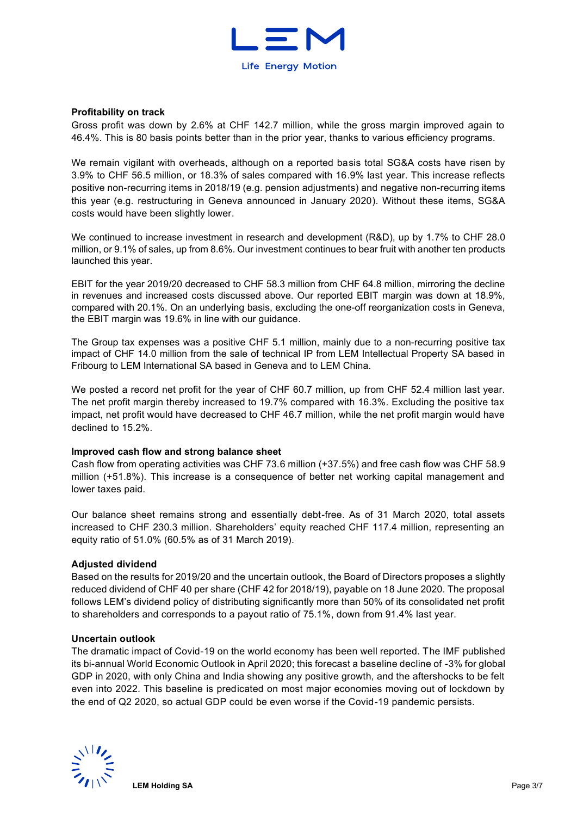

#### **Profitability on track**

Gross profit was down by 2.6% at CHF 142.7 million, while the gross margin improved again to 46.4%. This is 80 basis points better than in the prior year, thanks to various efficiency programs.

We remain vigilant with overheads, although on a reported basis total SG&A costs have risen by 3.9% to CHF 56.5 million, or 18.3% of sales compared with 16.9% last year. This increase reflects positive non-recurring items in 2018/19 (e.g. pension adjustments) and negative non-recurring items this year (e.g. restructuring in Geneva announced in January 2020). Without these items, SG&A costs would have been slightly lower.

We continued to increase investment in research and development (R&D), up by 1.7% to CHF 28.0 million, or 9.1% of sales, up from 8.6%. Our investment continues to bear fruit with another ten products launched this year.

EBIT for the year 2019/20 decreased to CHF 58.3 million from CHF 64.8 million, mirroring the decline in revenues and increased costs discussed above. Our reported EBIT margin was down at 18.9%, compared with 20.1%. On an underlying basis, excluding the one-off reorganization costs in Geneva, the EBIT margin was 19.6% in line with our guidance.

The Group tax expenses was a positive CHF 5.1 million, mainly due to a non-recurring positive tax impact of CHF 14.0 million from the sale of technical IP from LEM Intellectual Property SA based in Fribourg to LEM International SA based in Geneva and to LEM China.

We posted a record net profit for the year of CHF 60.7 million, up from CHF 52.4 million last year. The net profit margin thereby increased to 19.7% compared with 16.3%. Excluding the positive tax impact, net profit would have decreased to CHF 46.7 million, while the net profit margin would have declined to 15.2%.

#### **Improved cash flow and strong balance sheet**

Cash flow from operating activities was CHF 73.6 million (+37.5%) and free cash flow was CHF 58.9 million (+51.8%). This increase is a consequence of better net working capital management and lower taxes paid.

Our balance sheet remains strong and essentially debt-free. As of 31 March 2020, total assets increased to CHF 230.3 million. Shareholders' equity reached CHF 117.4 million, representing an equity ratio of 51.0% (60.5% as of 31 March 2019).

#### **Adjusted dividend**

Based on the results for 2019/20 and the uncertain outlook, the Board of Directors proposes a slightly reduced dividend of CHF 40 per share (CHF 42 for 2018/19), payable on 18 June 2020. The proposal follows LEM's dividend policy of distributing significantly more than 50% of its consolidated net profit to shareholders and corresponds to a payout ratio of 75.1%, down from 91.4% last year.

#### **Uncertain outlook**

The dramatic impact of Covid-19 on the world economy has been well reported. The IMF published its bi-annual World Economic Outlook in April 2020; this forecast a baseline decline of -3% for global GDP in 2020, with only China and India showing any positive growth, and the aftershocks to be felt even into 2022. This baseline is predicated on most major economies moving out of lockdown by the end of Q2 2020, so actual GDP could be even worse if the Covid-19 pandemic persists.

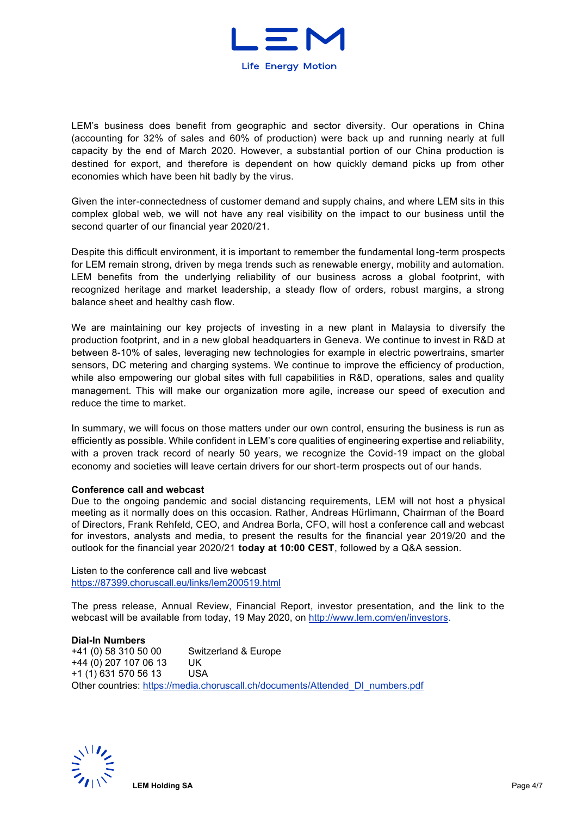

LEM's business does benefit from geographic and sector diversity. Our operations in China (accounting for 32% of sales and 60% of production) were back up and running nearly at full capacity by the end of March 2020. However, a substantial portion of our China production is destined for export, and therefore is dependent on how quickly demand picks up from other economies which have been hit badly by the virus.

Given the inter-connectedness of customer demand and supply chains, and where LEM sits in this complex global web, we will not have any real visibility on the impact to our business until the second quarter of our financial year 2020/21.

Despite this difficult environment, it is important to remember the fundamental long-term prospects for LEM remain strong, driven by mega trends such as renewable energy, mobility and automation. LEM benefits from the underlying reliability of our business across a global footprint, with recognized heritage and market leadership, a steady flow of orders, robust margins, a strong balance sheet and healthy cash flow.

We are maintaining our key projects of investing in a new plant in Malaysia to diversify the production footprint, and in a new global headquarters in Geneva. We continue to invest in R&D at between 8-10% of sales, leveraging new technologies for example in electric powertrains, smarter sensors, DC metering and charging systems. We continue to improve the efficiency of production, while also empowering our global sites with full capabilities in R&D, operations, sales and quality management. This will make our organization more agile, increase our speed of execution and reduce the time to market.

In summary, we will focus on those matters under our own control, ensuring the business is run as efficiently as possible. While confident in LEM's core qualities of engineering expertise and reliability, with a proven track record of nearly 50 years, we recognize the Covid-19 impact on the global economy and societies will leave certain drivers for our short-term prospects out of our hands.

#### **Conference call and webcast**

Due to the ongoing pandemic and social distancing requirements, LEM will not host a physical meeting as it normally does on this occasion. Rather, Andreas Hürlimann, Chairman of the Board of Directors, Frank Rehfeld, CEO, and Andrea Borla, CFO, will host a conference call and webcast for investors, analysts and media, to present the results for the financial year 2019/20 and the outlook for the financial year 2020/21 **today at 10:00 CEST**, followed by a Q&A session.

Listen to the conference call and live webcast <https://87399.choruscall.eu/links/lem200519.html>

The press release, Annual Review, Financial Report, investor presentation, and the link to the webcast will be available from today, 19 May 2020, on [http://www.lem.com/en/investors.](http://www.lem.com/en/investors)

#### **Dial-In Numbers**

+41 (0) 58 310 50 00 Switzerland & Europe +44 (0) 207 107 06 13 UK +1 (1) 631 570 56 13 USA Other countries: [https://media.choruscall.ch/documents/Attended\\_DI\\_numbers.pdf](https://media.choruscall.ch/documents/Attended_DI_numbers.pdf) 

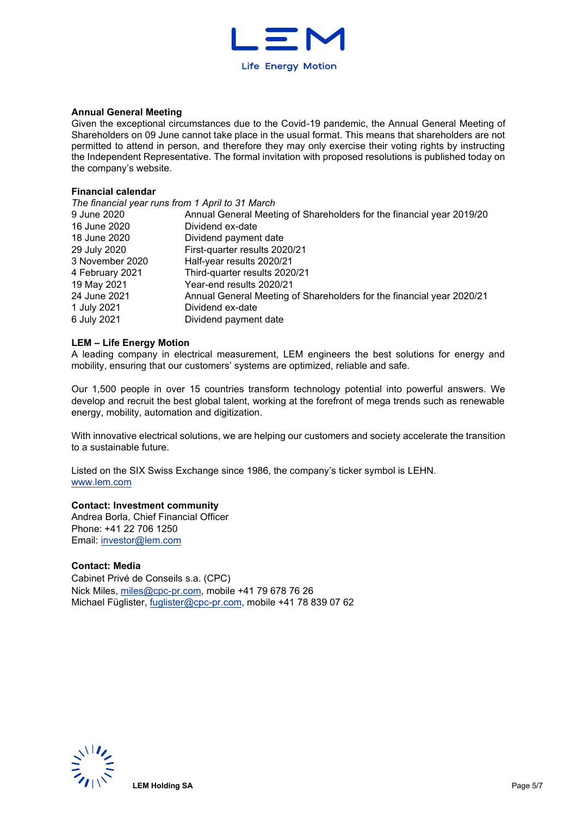

#### **Annual General Meeting**

Given the exceptional circumstances due to the Covid-19 pandemic, the Annual General Meeting of Shareholders on 09 June cannot take place in the usual format. This means that shareholders are not permitted to attend in person, and therefore they may only exercise their voting rights by instructing the Independent Representative. The formal invitation with proposed resolutions is published today on the company's website.

#### **Financial calendar**

| The financial year runs from 1 April to 31 March |                                                                       |
|--------------------------------------------------|-----------------------------------------------------------------------|
| 9 June 2020                                      | Annual General Meeting of Shareholders for the financial year 2019/20 |
| 16 June 2020                                     | Dividend ex-date                                                      |
| 18 June 2020                                     | Dividend payment date                                                 |
| 29 July 2020                                     | First-quarter results 2020/21                                         |
| 3 November 2020                                  | Half-year results 2020/21                                             |
| 4 February 2021                                  | Third-quarter results 2020/21                                         |
| 19 May 2021                                      | Year-end results 2020/21                                              |
| 24 June 2021                                     | Annual General Meeting of Shareholders for the financial year 2020/21 |
| 1 July 2021                                      | Dividend ex-date                                                      |
| 6 July 2021                                      | Dividend payment date                                                 |

#### **LEM – Life Energy Motion**

A leading company in electrical measurement, LEM engineers the best solutions for energy and mobility, ensuring that our customers' systems are optimized, reliable and safe.

Our 1,500 people in over 15 countries transform technology potential into powerful answers. We develop and recruit the best global talent, working at the forefront of mega trends such as renewable energy, mobility, automation and digitization.

With innovative electrical solutions, we are helping our customers and society accelerate the transition to a sustainable future.

Listed on the SIX Swiss Exchange since 1986, the company's ticker symbol is LEHN. [www.lem.com](http://www.lem.com/) 

### **Contact: Investment community**

Andrea Borla, Chief Financial Officer Phone: +41 22 706 1250 Email: [investor@lem.com](mailto:investor@lem.com) 

**Contact: Media** Cabinet Privé de Conseils s.a. (CPC) Nick Miles, [miles@cpc-pr.com,](mailto:miles@cpc-pr.com) mobile +41 79 678 76 26 Michael Füglister, [fuglister@cpc-pr.com,](mailto:fuglister@cpc-pr.com) mobile +41 78 839 07 62

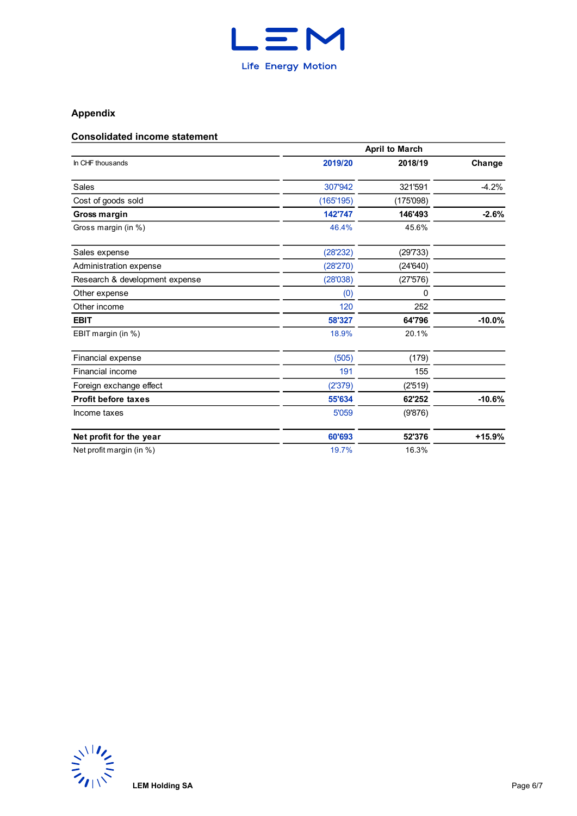

# **Appendix**

## **Consolidated income statement**

|                                | <b>April to March</b> |           |          |  |  |  |  |  |
|--------------------------------|-----------------------|-----------|----------|--|--|--|--|--|
| In CHF thousands               | 2019/20               | 2018/19   | Change   |  |  |  |  |  |
| Sales                          | 307'942               | 321'591   | $-4.2%$  |  |  |  |  |  |
| Cost of goods sold             | (165'195)             | (175'098) |          |  |  |  |  |  |
| Gross margin                   | 142'747               | 146'493   | $-2.6%$  |  |  |  |  |  |
| Gross margin (in %)            | 46.4%                 | 45.6%     |          |  |  |  |  |  |
| Sales expense                  | (28'232)              | (29'733)  |          |  |  |  |  |  |
| Administration expense         | (28'270)              | (24'640)  |          |  |  |  |  |  |
| Research & development expense | (28'038)              | (27'576)  |          |  |  |  |  |  |
| Other expense                  | (0)                   | 0         |          |  |  |  |  |  |
| Other income                   | 120                   | 252       |          |  |  |  |  |  |
| <b>EBIT</b>                    | 58'327                | 64'796    | $-10.0%$ |  |  |  |  |  |
| EBIT margin (in %)             | 18.9%                 | 20.1%     |          |  |  |  |  |  |
| Financial expense              | (505)                 | (179)     |          |  |  |  |  |  |
| Financial income               | 191                   | 155       |          |  |  |  |  |  |
| Foreign exchange effect        | (2'379)               | (2'519)   |          |  |  |  |  |  |
| <b>Profit before taxes</b>     | 55'634                | 62'252    | $-10.6%$ |  |  |  |  |  |
| Income taxes                   | 5'059                 | (9'876)   |          |  |  |  |  |  |
| Net profit for the year        | 60'693                | 52'376    | $+15.9%$ |  |  |  |  |  |
| Net profit margin (in %)       | 19.7%                 | 16.3%     |          |  |  |  |  |  |